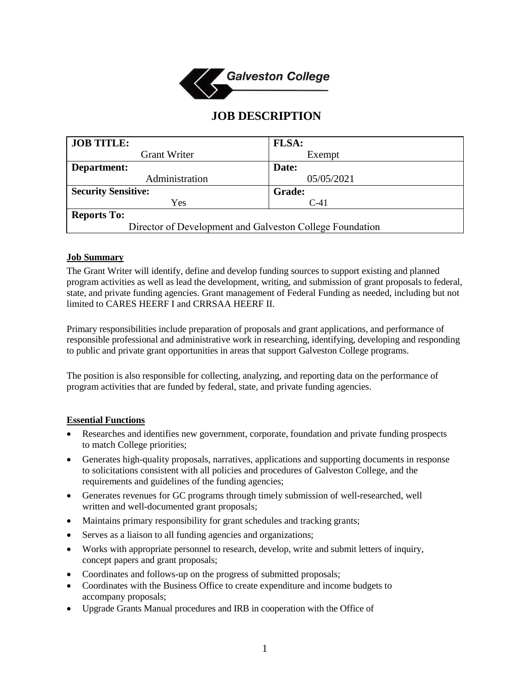

# **JOB DESCRIPTION**

| <b>JOB TITLE:</b>                                        | <b>FLSA:</b>  |
|----------------------------------------------------------|---------------|
| <b>Grant Writer</b>                                      | Exempt        |
| Department:                                              | Date:         |
| Administration                                           | 05/05/2021    |
| <b>Security Sensitive:</b>                               | <b>Grade:</b> |
| Yes                                                      | $C-41$        |
| <b>Reports To:</b>                                       |               |
| Director of Development and Galveston College Foundation |               |

## **Job Summary**

The Grant Writer will identify, define and develop funding sources to support existing and planned program activities as well as lead the development, writing, and submission of grant proposals to federal, state, and private funding agencies. Grant management of Federal Funding as needed, including but not limited to CARES HEERF I and CRRSAA HEERF II.

Primary responsibilities include preparation of proposals and grant applications, and performance of responsible professional and administrative work in researching, identifying, developing and responding to public and private grant opportunities in areas that support Galveston College programs.

The position is also responsible for collecting, analyzing, and reporting data on the performance of program activities that are funded by federal, state, and private funding agencies.

### **Essential Functions**

- Researches and identifies new government, corporate, foundation and private funding prospects to match College priorities;
- Generates high-quality proposals, narratives, applications and supporting documents in response to solicitations consistent with all policies and procedures of Galveston College, and the requirements and guidelines of the funding agencies;
- Generates revenues for GC programs through timely submission of well-researched, well written and well-documented grant proposals;
- Maintains primary responsibility for grant schedules and tracking grants;
- Serves as a liaison to all funding agencies and organizations;
- Works with appropriate personnel to research, develop, write and submit letters of inquiry, concept papers and grant proposals;
- Coordinates and follows-up on the progress of submitted proposals;
- Coordinates with the Business Office to create expenditure and income budgets to accompany proposals;
- Upgrade Grants Manual procedures and IRB in cooperation with the Office of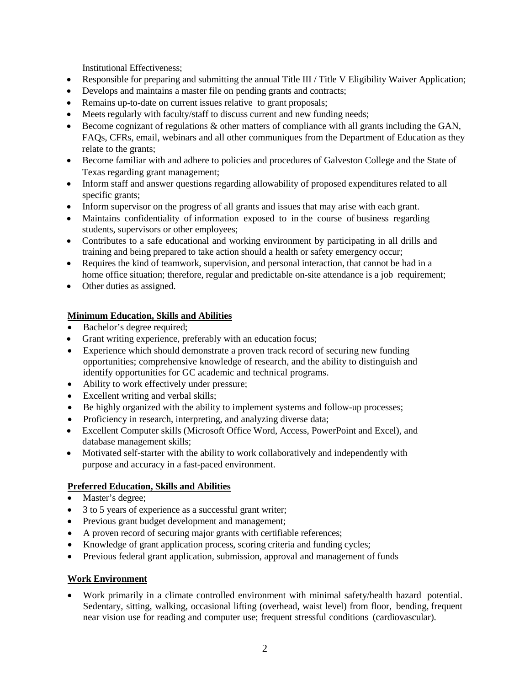Institutional Effectiveness;

- Responsible for preparing and submitting the annual Title III / Title V Eligibility Waiver Application;
- Develops and maintains a master file on pending grants and contracts;
- Remains up-to-date on current issues relative to grant proposals;
- Meets regularly with faculty/staff to discuss current and new funding needs;
- Become cognizant of regulations & other matters of compliance with all grants including the GAN, FAQs, CFRs, email, webinars and all other communiques from the Department of Education as they relate to the grants;
- Become familiar with and adhere to policies and procedures of Galveston College and the State of Texas regarding grant management;
- Inform staff and answer questions regarding allowability of proposed expenditures related to all specific grants;
- Inform supervisor on the progress of all grants and issues that may arise with each grant.
- Maintains confidentiality of information exposed to in the course of business regarding students, supervisors or other employees;
- Contributes to a safe educational and working environment by participating in all drills and training and being prepared to take action should a health or safety emergency occur;
- Requires the kind of teamwork, supervision, and personal interaction, that cannot be had in a home office situation; therefore, regular and predictable on-site attendance is a job requirement;
- Other duties as assigned.

## **Minimum Education, Skills and Abilities**

- Bachelor's degree required;
- Grant writing experience, preferably with an education focus;
- Experience which should demonstrate a proven track record of securing new funding opportunities; comprehensive knowledge of research, and the ability to distinguish and identify opportunities for GC academic and technical programs.
- Ability to work effectively under pressure;
- Excellent writing and verbal skills;
- Be highly organized with the ability to implement systems and follow-up processes;
- Proficiency in research, interpreting, and analyzing diverse data;
- Excellent Computer skills (Microsoft Office Word, Access, PowerPoint and Excel), and database management skills;
- Motivated self-starter with the ability to work collaboratively and independently with purpose and accuracy in a fast-paced environment.

## **Preferred Education, Skills and Abilities**

- Master's degree;
- 3 to 5 years of experience as a successful grant writer;
- Previous grant budget development and management;
- A proven record of securing major grants with certifiable references;
- Knowledge of grant application process, scoring criteria and funding cycles;
- Previous federal grant application, submission, approval and management of funds

### **Work Environment**

• Work primarily in a climate controlled environment with minimal safety/health hazard potential. Sedentary, sitting, walking, occasional lifting (overhead, waist level) from floor, bending, frequent near vision use for reading and computer use; frequent stressful conditions (cardiovascular).